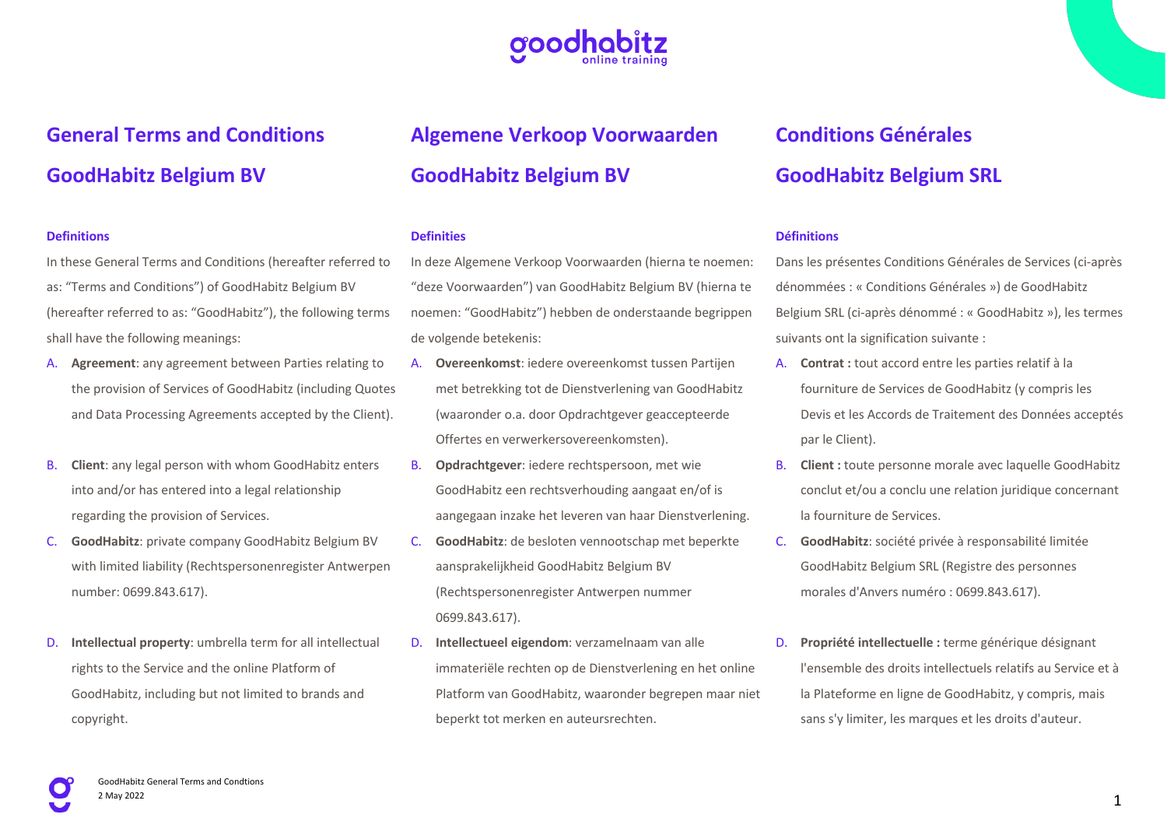

# **General Terms and Conditions GoodHabitz Belgium BV**

#### **Definitions**

In these General Terms and Conditions (hereafter referred to as: "Terms and Conditions") of GoodHabitz Belgium BV (hereafter referred to as: "GoodHabitz"), the following terms shall have the following meanings:

- A. **Agreement**: any agreement between Parties relating to the provision of Services of GoodHabitz (including Quotes and Data Processing Agreements accepted by the Client).
- B. **Client**: any legal person with whom GoodHabitz enters into and/or has entered into a legal relationship regarding the provision of Services.
- C. **GoodHabitz**: private company GoodHabitz Belgium BV with limited liability (Rechtspersonenregister Antwerpen number: 0699.843.617).
- D. **Intellectual property**: umbrella term for all intellectual rights to the Service and the online Platform of GoodHabitz, including but not limited to brands and copyright.

# **Algemene Verkoop Voorwaarden GoodHabitz Belgium BV**

### **Definities**

In deze Algemene Verkoop Voorwaarden (hierna te noemen: "deze Voorwaarden") van GoodHabitz Belgium BV (hierna te noemen: "GoodHabitz") hebben de onderstaande begrippen de volgende betekenis:

- A. **Overeenkomst**: iedere overeenkomst tussen Partijen met betrekking tot de Dienstverlening van GoodHabitz (waaronder o.a. door Opdrachtgever geaccepteerde Offertes en verwerkersovereenkomsten).
- B. **Opdrachtgever**: iedere rechtspersoon, met wie GoodHabitz een rechtsverhouding aangaat en/of is aangegaan inzake het leveren van haar Dienstverlening.
- C. **GoodHabitz**: de besloten vennootschap met beperkte aansprakelijkheid GoodHabitz Belgium BV (Rechtspersonenregister Antwerpen nummer 0699.843.617).
- D. **Intellectueel eigendom**: verzamelnaam van alle immateriële rechten op de Dienstverlening en het online Platform van GoodHabitz, waaronder begrepen maar niet beperkt tot merken en auteursrechten.

# **Conditions Générales GoodHabitz Belgium SRL**

#### **Définitions**

Dans les présentes Conditions Générales de Services (ci-après dénommées : « Conditions Générales ») de GoodHabitz Belgium SRL (ci-après dénommé : « GoodHabitz »), les termes suivants ont la signification suivante :

- A. **Contrat :** tout accord entre les parties relatif à la fourniture de Services de GoodHabitz (y compris les Devis et les Accords de Traitement des Données acceptés par le Client).
- B. **Client :** toute personne morale avec laquelle GoodHabitz conclut et/ou a conclu une relation juridique concernant la fourniture de Services.
- C. **GoodHabitz**: société privée à responsabilité limitée GoodHabitz Belgium SRL (Registre des personnes morales d'Anvers numéro : 0699.843.617).
- D. **Propriété intellectuelle :** terme générique désignant l'ensemble des droits intellectuels relatifs au Service et à la Plateforme en ligne de GoodHabitz, y compris, mais sans s'y limiter, les marques et les droits d'auteur.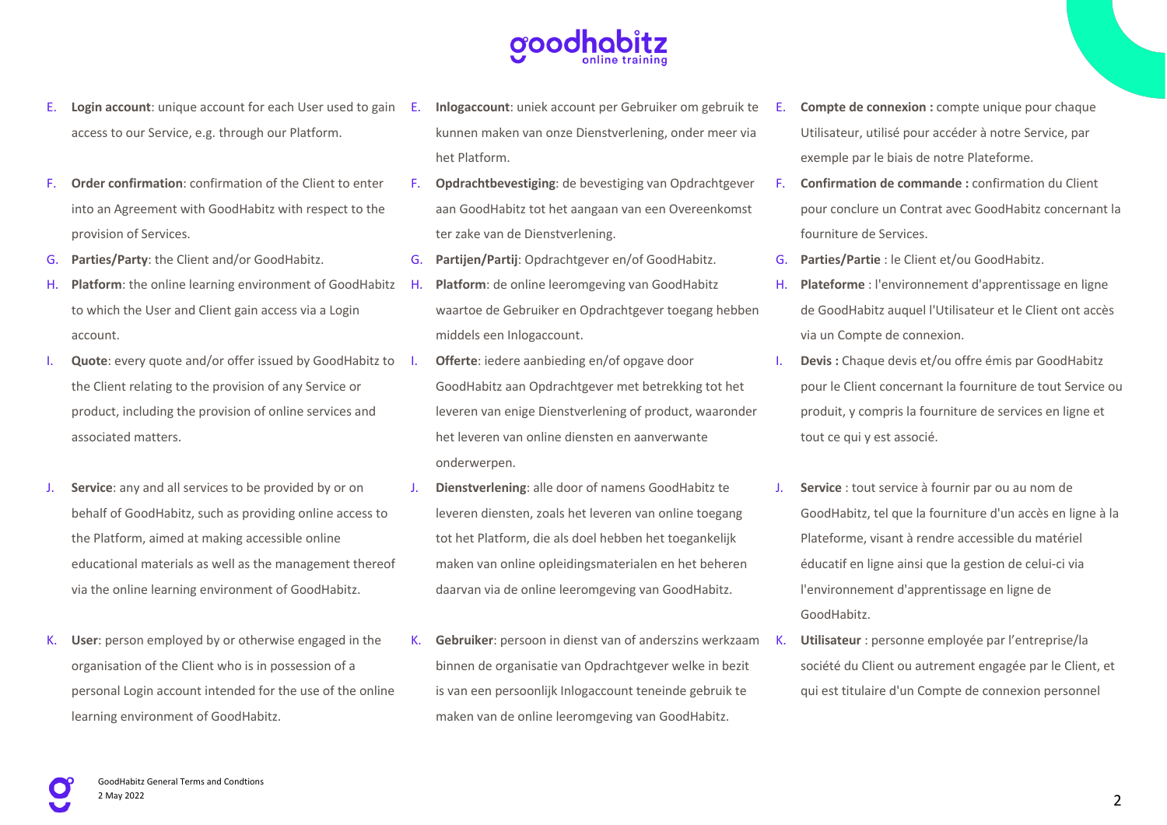

- E. **Login account**: unique account for each User used to gain access to our Service, e.g. through our Platform.
- F. **Order confirmation**: confirmation of the Client to enter into an Agreement with GoodHabitz with respect to the provision of Services.
- G. **Parties/Party**: the Client and/or GoodHabitz.
- H. **Platform**: the online learning environment of GoodHabitz H. to which the User and Client gain access via a Login account.
- I. **Quote**: every quote and/or offer issued by GoodHabitz to the Client relating to the provision of any Service or product, including the provision of online services and associated matters.
- **Service**: any and all services to be provided by or on behalf of GoodHabitz, such as providing online access to the Platform, aimed at making accessible online educational materials as well as the management thereof via the online learning environment of GoodHabitz.
- K. **User**: person employed by or otherwise engaged in the organisation of the Client who is in possession of a personal Login account intended for the use of the online learning environment of GoodHabitz.
- Inlogaccount: uniek account per Gebruiker om gebruik te kunnen maken van onze Dienstverlening, onder meer via het Platform.
- F. **Opdrachtbevestiging**: de bevestiging van Opdrachtgever aan GoodHabitz tot het aangaan van een Overeenkomst ter zake van de Dienstverlening.
- G. **Partijen/Partij**: Opdrachtgever en/of GoodHabitz.
- Platform: de online leeromgeving van GoodHabitz waartoe de Gebruiker en Opdrachtgever toegang hebben middels een Inlogaccount.
- **Offerte**: iedere aanbieding en/of opgave door GoodHabitz aan Opdrachtgever met betrekking tot het leveren van enige Dienstverlening of product, waaronder het leveren van online diensten en aanverwante onderwerpen.
- J. **Dienstverlening**: alle door of namens GoodHabitz te leveren diensten, zoals het leveren van online toegang tot het Platform, die als doel hebben het toegankelijk maken van online opleidingsmaterialen en het beheren daarvan via de online leeromgeving van GoodHabitz.
- K. **Gebruiker**: persoon in dienst van of anderszins werkzaam binnen de organisatie van Opdrachtgever welke in bezit is van een persoonlijk Inlogaccount teneinde gebruik te maken van de online leeromgeving van GoodHabitz.
- E. **Compte de connexion :** compte unique pour chaque Utilisateur, utilisé pour accéder à notre Service, par exemple par le biais de notre Plateforme.
- F. **Confirmation de commande :** confirmation du Client pour conclure un Contrat avec GoodHabitz concernant la fourniture de Services.
- G. **Parties/Partie** : le Client et/ou GoodHabitz.
- H. **Plateforme** : l'environnement d'apprentissage en ligne de GoodHabitz auquel l'Utilisateur et le Client ont accès via un Compte de connexion.
- I. **Devis :** Chaque devis et/ou offre émis par GoodHabitz pour le Client concernant la fourniture de tout Service ou produit, y compris la fourniture de services en ligne et tout ce qui y est associé.
- J. **Service** : tout service à fournir par ou au nom de GoodHabitz, tel que la fourniture d'un accès en ligne à la Plateforme, visant à rendre accessible du matériel éducatif en ligne ainsi que la gestion de celui-ci via l'environnement d'apprentissage en ligne de GoodHabitz.
- K. **Utilisateur** : personne employée par l'entreprise/la société du Client ou autrement engagée par le Client, et qui est titulaire d'un Compte de connexion personnel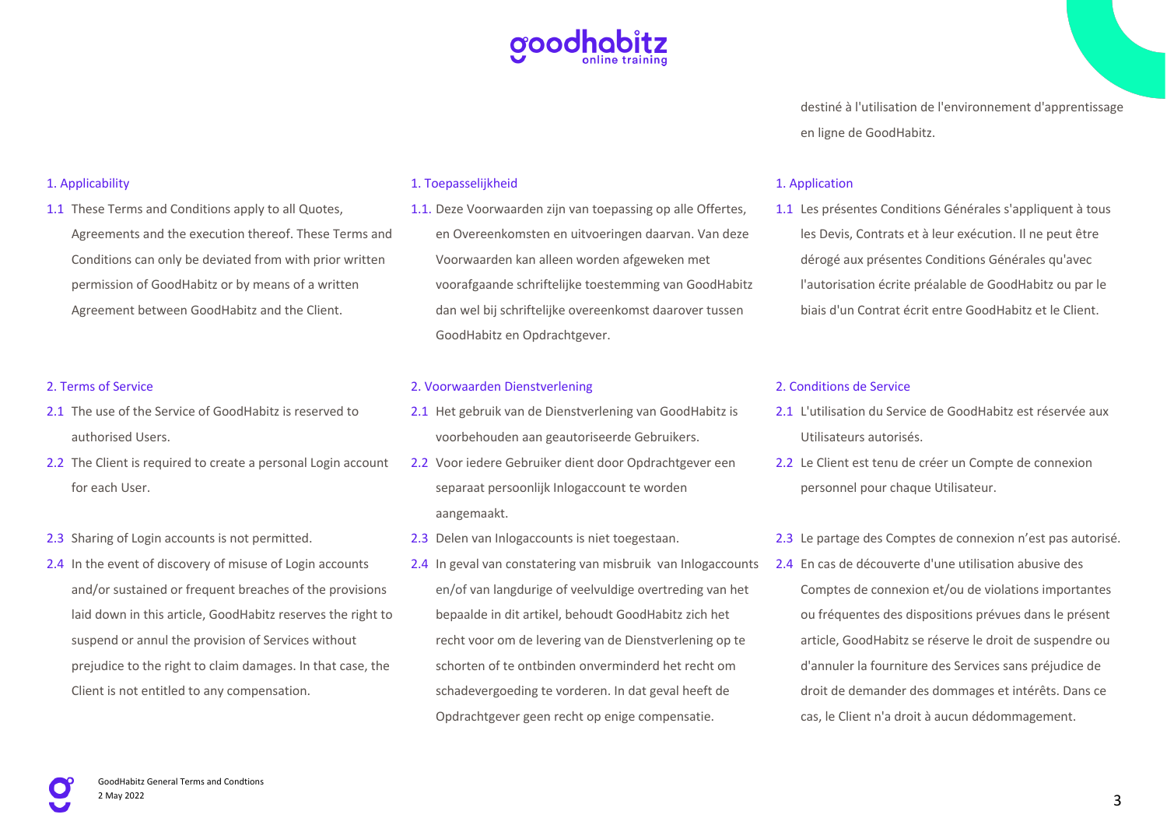

destiné à l'utilisation de l'environnement d'apprentissage en ligne de GoodHabitz.

#### 1. Applicability

1.1 These Terms and Conditions apply to all Quotes, Agreements and the execution thereof. These Terms and Conditions can only be deviated from with prior written permission of GoodHabitz or by means of a written Agreement between GoodHabitz and the Client.

#### 2. Terms of Service

- 2.1 The use of the Service of GoodHabitz is reserved to authorised Users.
- 2.2 The Client is required to create a personal Login account for each User.
- 2.3 Sharing of Login accounts is not permitted.
- 2.4 In the event of discovery of misuse of Login accounts and/or sustained or frequent breaches of the provisions laid down in this article, GoodHabitz reserves the right to suspend or annul the provision of Services without prejudice to the right to claim damages. In that case, the Client is not entitled to any compensation.

#### 1. Toepasselijkheid

1.1. Deze Voorwaarden zijn van toepassing op alle Offertes, en Overeenkomsten en uitvoeringen daarvan. Van deze Voorwaarden kan alleen worden afgeweken met voorafgaande schriftelijke toestemming van GoodHabitz dan wel bij schriftelijke overeenkomst daarover tussen GoodHabitz en Opdrachtgever.

#### 2. Voorwaarden Dienstverlening

- 2.1 Het gebruik van de Dienstverlening van GoodHabitz is voorbehouden aan geautoriseerde Gebruikers.
- 2.2 Voor iedere Gebruiker dient door Opdrachtgever een separaat persoonlijk Inlogaccount te worden aangemaakt.
- 2.3 Delen van Inlogaccounts is niet toegestaan.
- 2.4 In geval van constatering van misbruik van Inlogaccounts en/of van langdurige of veelvuldige overtreding van het bepaalde in dit artikel, behoudt GoodHabitz zich het recht voor om de levering van de Dienstverlening op te schorten of te ontbinden onverminderd het recht om schadevergoeding te vorderen. In dat geval heeft de Opdrachtgever geen recht op enige compensatie.

#### 1. Application

1.1 Les présentes Conditions Générales s'appliquent à tous les Devis, Contrats et à leur exécution. Il ne peut être dérogé aux présentes Conditions Générales qu'avec l'autorisation écrite préalable de GoodHabitz ou par le biais d'un Contrat écrit entre GoodHabitz et le Client.

#### 2. Conditions de Service

- 2.1 L'utilisation du Service de GoodHabitz est réservée aux Utilisateurs autorisés.
- 2.2 Le Client est tenu de créer un Compte de connexion personnel pour chaque Utilisateur.
- 2.3 Le partage des Comptes de connexion n'est pas autorisé.
- 2.4 En cas de découverte d'une utilisation abusive des Comptes de connexion et/ou de violations importantes ou fréquentes des dispositions prévues dans le présent article, GoodHabitz se réserve le droit de suspendre ou d'annuler la fourniture des Services sans préjudice de droit de demander des dommages et intérêts. Dans ce cas, le Client n'a droit à aucun dédommagement.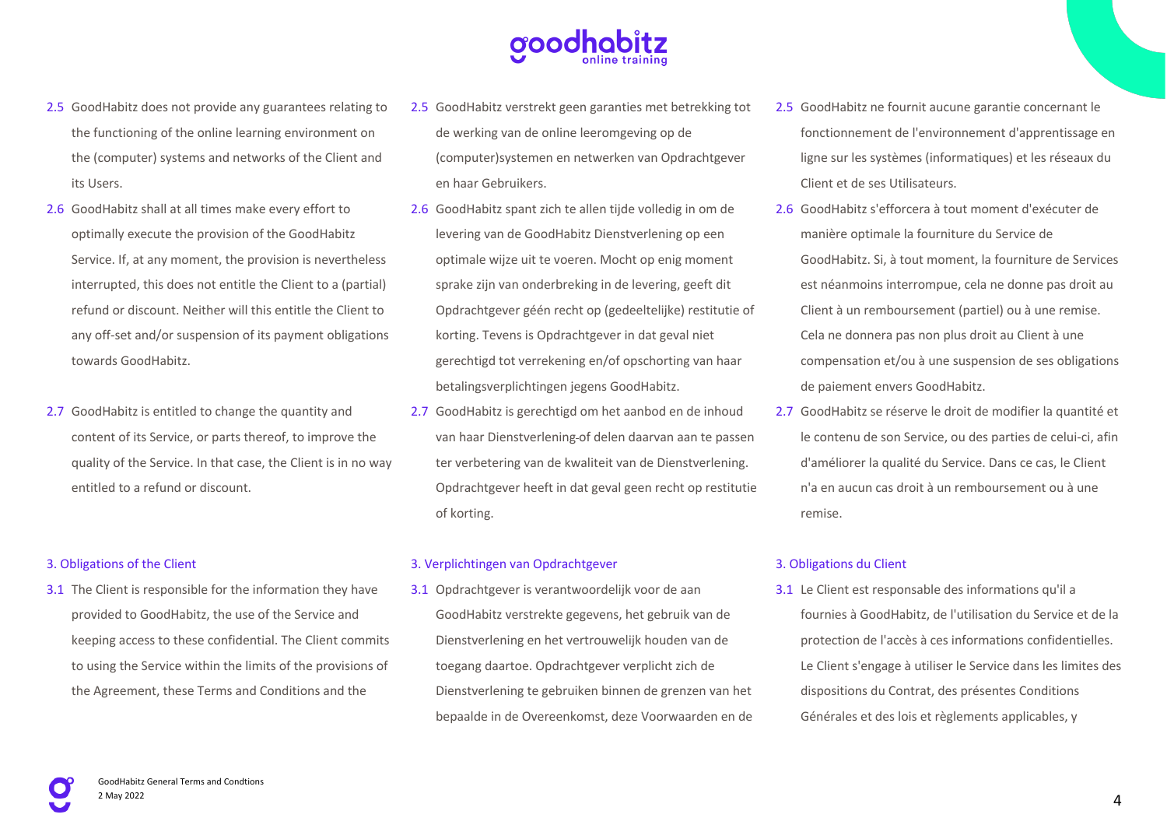- 2.5 GoodHabitz does not provide any guarantees relating to the functioning of the online learning environment on the (computer) systems and networks of the Client and its Users.
- 2.6 GoodHabitz shall at all times make every effort to optimally execute the provision of the GoodHabitz Service. If, at any moment, the provision is nevertheless interrupted, this does not entitle the Client to a (partial) refund or discount. Neither will this entitle the Client to any off-set and/or suspension of its payment obligations towards GoodHabitz.
- 2.7 GoodHabitz is entitled to change the quantity and content of its Service, or parts thereof, to improve the quality of the Service. In that case, the Client is in no way entitled to a refund or discount.

### 3. Obligations of the Client

3.1 The Client is responsible for the information they have provided to GoodHabitz, the use of the Service and keeping access to these confidential. The Client commits to using the Service within the limits of the provisions of the Agreement, these Terms and Conditions and the

- 2.5 GoodHabitz verstrekt geen garanties met betrekking tot de werking van de online leeromgeving op de (computer)systemen en netwerken van Opdrachtgever en haar Gebruikers.
- 2.6 GoodHabitz spant zich te allen tijde volledig in om de levering van de GoodHabitz Dienstverlening op een optimale wijze uit te voeren. Mocht op enig moment sprake zijn van onderbreking in de levering, geeft dit Opdrachtgever géén recht op (gedeeltelijke) restitutie of korting. Tevens is Opdrachtgever in dat geval niet gerechtigd tot verrekening en/of opschorting van haar betalingsverplichtingen jegens GoodHabitz.
- 2.7 GoodHabitz is gerechtigd om het aanbod en de inhoud van haar Dienstverlening of delen daarvan aan te passen ter verbetering van de kwaliteit van de Dienstverlening. Opdrachtgever heeft in dat geval geen recht op restitutie of korting.

#### 3. Verplichtingen van Opdrachtgever

3.1 Opdrachtgever is verantwoordelijk voor de aan GoodHabitz verstrekte gegevens, het gebruik van de Dienstverlening en het vertrouwelijk houden van de toegang daartoe. Opdrachtgever verplicht zich de Dienstverlening te gebruiken binnen de grenzen van het bepaalde in de Overeenkomst, deze Voorwaarden en de

- 2.5 GoodHabitz ne fournit aucune garantie concernant le fonctionnement de l'environnement d'apprentissage en ligne sur les systèmes (informatiques) et les réseaux du Client et de ses Utilisateurs.
- 2.6 GoodHabitz s'efforcera à tout moment d'exécuter de manière optimale la fourniture du Service de GoodHabitz. Si, à tout moment, la fourniture de Services est néanmoins interrompue, cela ne donne pas droit au Client à un remboursement (partiel) ou à une remise. Cela ne donnera pas non plus droit au Client à une compensation et/ou à une suspension de ses obligations de paiement envers GoodHabitz.
- 2.7 GoodHabitz se réserve le droit de modifier la quantité et le contenu de son Service, ou des parties de celui-ci, afin d'améliorer la qualité du Service. Dans ce cas, le Client n'a en aucun cas droit à un remboursement ou à une remise.

### 3. Obligations du Client

3.1 Le Client est responsable des informations qu'il a fournies à GoodHabitz, de l'utilisation du Service et de la protection de l'accès à ces informations confidentielles. Le Client s'engage à utiliser le Service dans les limites des dispositions du Contrat, des présentes Conditions Générales et des lois et règlements applicables, y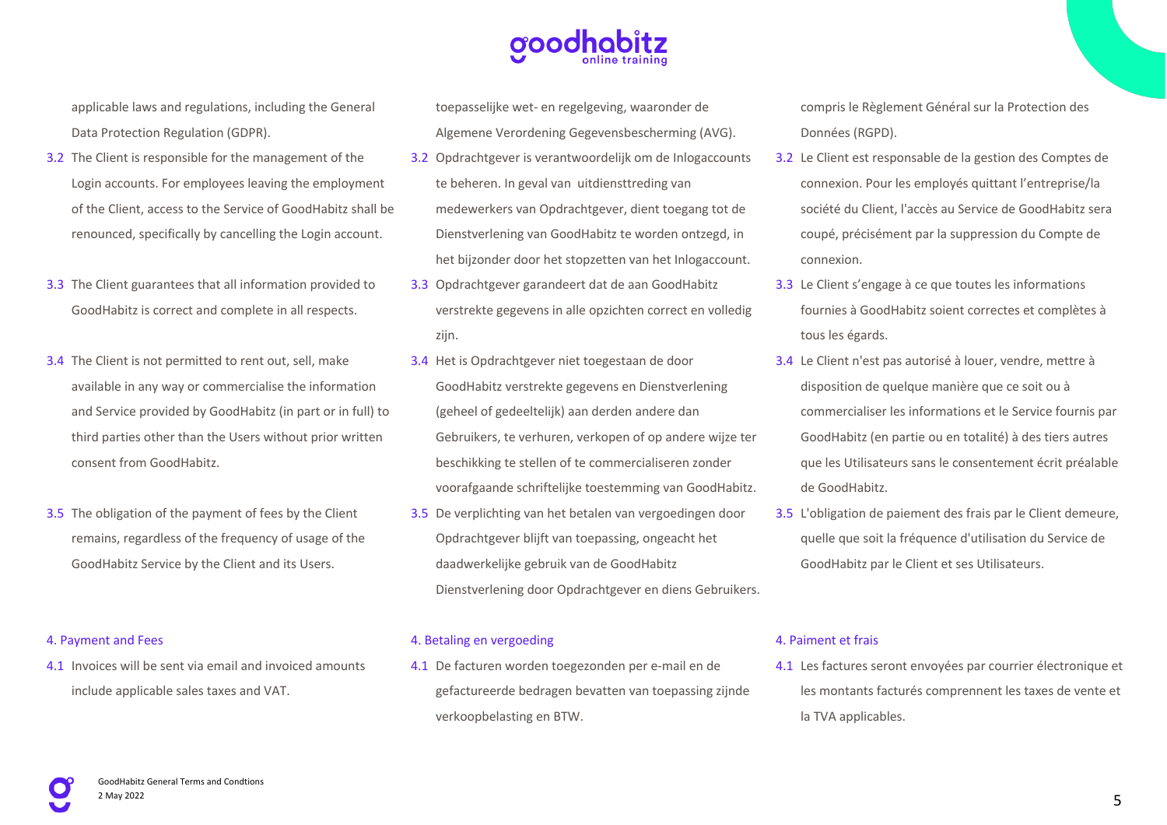

applicable laws and regulations, including the General Data Protection Regulation (GDPR).

- 3.2 The Client is responsible for the management of the Login accounts. For employees leaving the employment of the Client, access to the Service of GoodHabitz shall be renounced, specifically by cancelling the Login account.
- 3.3 The Client guarantees that all information provided to GoodHabitz is correct and complete in all respects.
- 3.4 The Client is not permitted to rent out, sell, make available in any way or commercialise the information and Service provided by GoodHabitz (in part or in full) to third parties other than the Users without prior written consent from GoodHabitz.
- 3.5 The obligation of the payment of fees by the Client remains, regardless of the frequency of usage of the GoodHabitz Service by the Client and its Users.

#### 4. Payment and Fees

4.1 Invoices will be sent via email and invoiced amounts include applicable sales taxes and VAT.

toepasselijke wet- en regelgeving, waaronder de Algemene Verordening Gegevensbescherming (AVG).

- 3.2 Opdrachtgever is verantwoordelijk om de Inlogaccounts te beheren. In geval van uitdiensttreding van medewerkers van Opdrachtgever, dient toegang tot de Dienstverlening van GoodHabitz te worden ontzegd, in het bijzonder door het stopzetten van het Inlogaccount.
- 3.3 Opdrachtgever garandeert dat de aan GoodHabitz verstrekte gegevens in alle opzichten correct en volledig zijn.
- 3.4 Het is Opdrachtgever niet toegestaan de door GoodHabitz verstrekte gegevens en Dienstverlening (geheel of gedeeltelijk) aan derden andere dan Gebruikers, te verhuren, verkopen of op andere wijze ter beschikking te stellen of te commercialiseren zonder voorafgaande schriftelijke toestemming van GoodHabitz.
- 3.5 De verplichting van het betalen van vergoedingen door Opdrachtgever blijft van toepassing, ongeacht het daadwerkelijke gebruik van de GoodHabitz Dienstverlening door Opdrachtgever en diens Gebruikers.

#### 4. Betaling en vergoeding

4.1 De facturen worden toegezonden per e-mail en de gefactureerde bedragen bevatten van toepassing zijnde verkoopbelasting en BTW.

compris le Règlement Général sur la Protection des Données (RGPD).

- 3.2 Le Client est responsable de la gestion des Comptes de connexion. Pour les employés quittant l'entreprise/la société du Client, l'accès au Service de GoodHabitz sera coupé, précisément par la suppression du Compte de connexion.
- 3.3 Le Client s'engage à ce que toutes les informations fournies à GoodHabitz soient correctes et complètes à tous les égards.
- 3.4 Le Client n'est pas autorisé à louer, vendre, mettre à disposition de quelque manière que ce soit ou à commercialiser les informations et le Service fournis par GoodHabitz (en partie ou en totalité) à des tiers autres que les Utilisateurs sans le consentement écrit préalable de GoodHabitz.
- 3.5 L'obligation de paiement des frais par le Client demeure, quelle que soit la fréquence d'utilisation du Service de GoodHabitz par le Client et ses Utilisateurs.

#### 4. Paiment et frais

4.1 Les factures seront envoyées par courrier électronique et les montants facturés comprennent les taxes de vente et la TVA applicables.

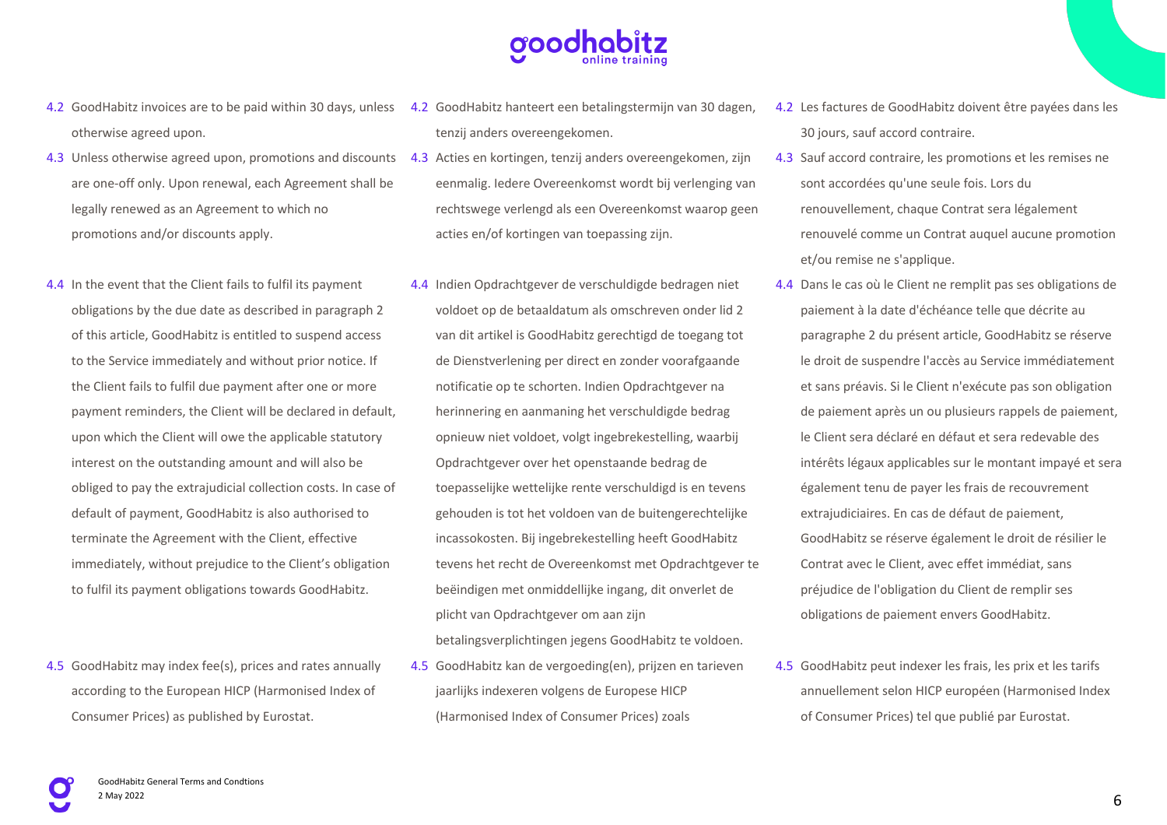

- 4.2 GoodHabitz invoices are to be paid within 30 days, unless 4.2 GoodHabitz hanteert een betalingstermijn van 30 dagen, otherwise agreed upon.
- 4.3 Unless otherwise agreed upon, promotions and discounts 4.3 Acties en kortingen, tenzij anders overeengekomen, zijn are one-off only. Upon renewal, each Agreement shall be legally renewed as an Agreement to which no promotions and/or discounts apply.
- 4.4 In the event that the Client fails to fulfil its payment obligations by the due date as described in paragraph 2 of this article, GoodHabitz is entitled to suspend access to the Service immediately and without prior notice. If the Client fails to fulfil due payment after one or more payment reminders, the Client will be declared in default, upon which the Client will owe the applicable statutory interest on the outstanding amount and will also be obliged to pay the extrajudicial collection costs. In case of default of payment, GoodHabitz is also authorised to terminate the Agreement with the Client, effective immediately, without prejudice to the Client's obligation to fulfil its payment obligations towards GoodHabitz.
- 4.5 GoodHabitz may index fee(s), prices and rates annually according to the European HICP (Harmonised Index of Consumer Prices) as published by Eurostat.
- tenzij anders overeengekomen.
- eenmalig. Iedere Overeenkomst wordt bij verlenging van rechtswege verlengd als een Overeenkomst waarop geen acties en/of kortingen van toepassing zijn.
- 4.4 Indien Opdrachtgever de verschuldigde bedragen niet voldoet op de betaaldatum als omschreven onder lid 2 van dit artikel is GoodHabitz gerechtigd de toegang tot de Dienstverlening per direct en zonder voorafgaande notificatie op te schorten. Indien Opdrachtgever na herinnering en aanmaning het verschuldigde bedrag opnieuw niet voldoet, volgt ingebrekestelling, waarbij Opdrachtgever over het openstaande bedrag de toepasselijke wettelijke rente verschuldigd is en tevens gehouden is tot het voldoen van de buitengerechtelijke incassokosten. Bij ingebrekestelling heeft GoodHabitz tevens het recht de Overeenkomst met Opdrachtgever te beëindigen met onmiddellijke ingang, dit onverlet de plicht van Opdrachtgever om aan zijn betalingsverplichtingen jegens GoodHabitz te voldoen.
- 4.5 GoodHabitz kan de vergoeding(en), prijzen en tarieven jaarlijks indexeren volgens de Europese HICP (Harmonised Index of Consumer Prices) zoals
- 4.2 Les factures de GoodHabitz doivent être payées dans les 30 jours, sauf accord contraire.
- 4.3 Sauf accord contraire, les promotions et les remises ne sont accordées qu'une seule fois. Lors du renouvellement, chaque Contrat sera légalement renouvelé comme un Contrat auquel aucune promotion et/ou remise ne s'applique.
- 4.4 Dans le cas où le Client ne remplit pas ses obligations de paiement à la date d'échéance telle que décrite au paragraphe 2 du présent article, GoodHabitz se réserve le droit de suspendre l'accès au Service immédiatement et sans préavis. Si le Client n'exécute pas son obligation de paiement après un ou plusieurs rappels de paiement, le Client sera déclaré en défaut et sera redevable des intérêts légaux applicables sur le montant impayé et sera également tenu de payer les frais de recouvrement extrajudiciaires. En cas de défaut de paiement, GoodHabitz se réserve également le droit de résilier le Contrat avec le Client, avec effet immédiat, sans préjudice de l'obligation du Client de remplir ses obligations de paiement envers GoodHabitz.
- 4.5 GoodHabitz peut indexer les frais, les prix et les tarifs annuellement selon HICP européen (Harmonised Index of Consumer Prices) tel que publié par Eurostat.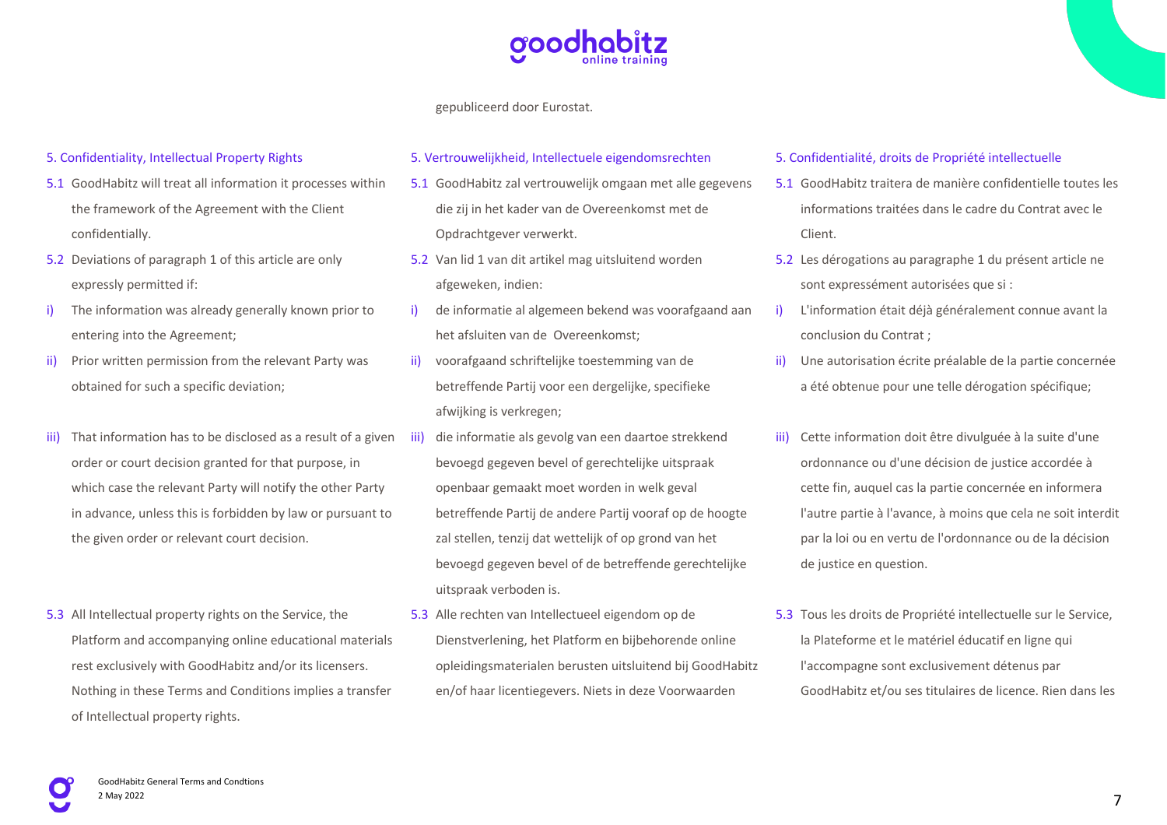

gepubliceerd door Eurostat.

#### 5. Confidentiality, Intellectual Property Rights

- 5.1 GoodHabitz will treat all information it processes within the framework of the Agreement with the Client confidentially.
- 5.2 Deviations of paragraph 1 of this article are only expressly permitted if:
- i) The information was already generally known prior to entering into the Agreement;
- ii) Prior written permission from the relevant Party was obtained for such a specific deviation;
- iii) That information has to be disclosed as a result of a given iii) order or court decision granted for that purpose, in which case the relevant Party will notify the other Party in advance, unless this is forbidden by law or pursuant to the given order or relevant court decision.
- 5.3 All Intellectual property rights on the Service, the Platform and accompanying online educational materials rest exclusively with GoodHabitz and/or its licensers. Nothing in these Terms and Conditions implies a transfer of Intellectual property rights.

#### 5. Vertrouwelijkheid, Intellectuele eigendomsrechten

- 5.1 GoodHabitz zal vertrouwelijk omgaan met alle gegevens die zij in het kader van de Overeenkomst met de Opdrachtgever verwerkt.
- 5.2 Van lid 1 van dit artikel mag uitsluitend worden afgeweken, indien:
- i) de informatie al algemeen bekend was voorafgaand aan het afsluiten van de Overeenkomst;
- ii) voorafgaand schriftelijke toestemming van de betreffende Partij voor een dergelijke, specifieke afwijking is verkregen;
- die informatie als gevolg van een daartoe strekkend bevoegd gegeven bevel of gerechtelijke uitspraak openbaar gemaakt moet worden in welk geval betreffende Partij de andere Partij vooraf op de hoogte zal stellen, tenzij dat wettelijk of op grond van het bevoegd gegeven bevel of de betreffende gerechtelijke uitspraak verboden is.
- 5.3 Alle rechten van Intellectueel eigendom op de Dienstverlening, het Platform en bijbehorende online opleidingsmaterialen berusten uitsluitend bij GoodHabitz en/of haar licentiegevers. Niets in deze Voorwaarden

#### 5. Confidentialité, droits de Propriété intellectuelle

- 5.1 GoodHabitz traitera de manière confidentielle toutes les informations traitées dans le cadre du Contrat avec le Client.
- 5.2 Les dérogations au paragraphe 1 du présent article ne sont expressément autorisées que si :
- L'information était déjà généralement connue avant la conclusion du Contrat ;
- ii) Une autorisation écrite préalable de la partie concernée a été obtenue pour une telle dérogation spécifique;
- iii) Cette information doit être divulguée à la suite d'une ordonnance ou d'une décision de justice accordée à cette fin, auquel cas la partie concernée en informera l'autre partie à l'avance, à moins que cela ne soit interdit par la loi ou en vertu de l'ordonnance ou de la décision de justice en question.
- 5.3 Tous les droits de Propriété intellectuelle sur le Service, la Plateforme et le matériel éducatif en ligne qui l'accompagne sont exclusivement détenus par GoodHabitz et/ou ses titulaires de licence. Rien dans les

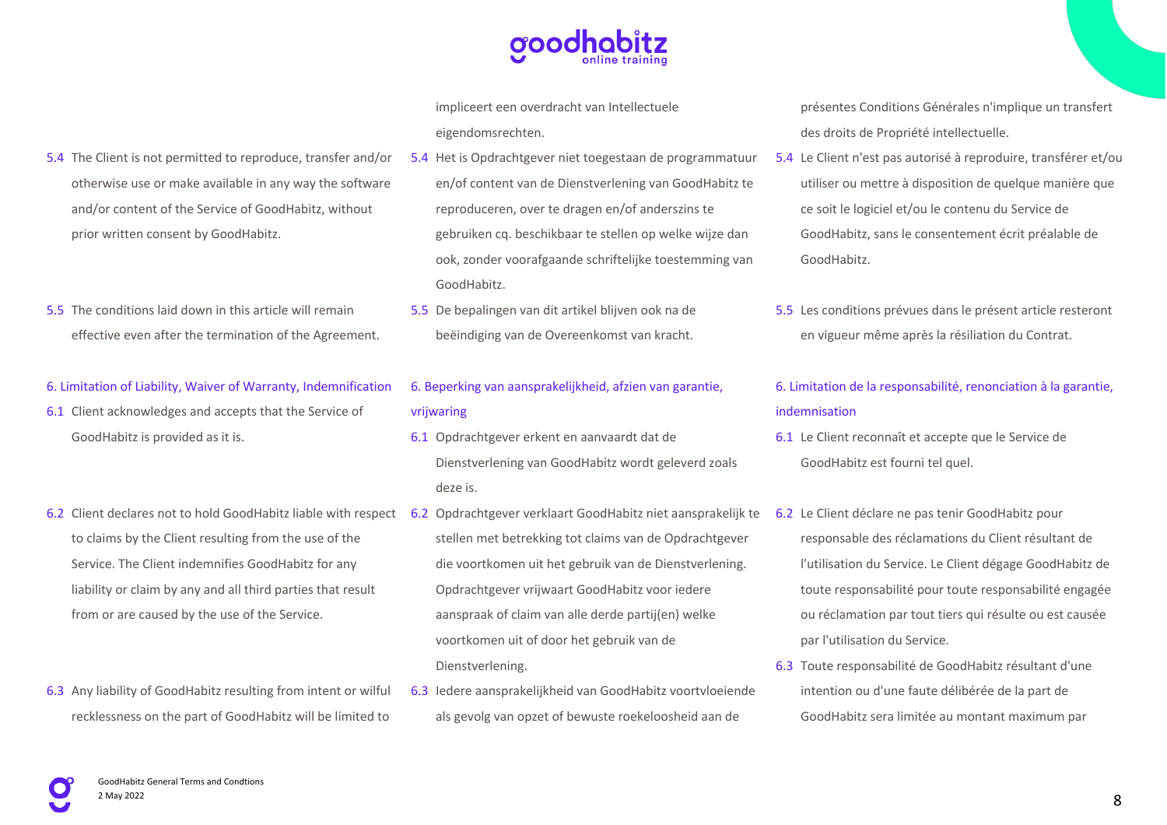

impliceert een overdracht van Intellectuele eigendomsrechten.

- 5.4 Het is Opdrachtgever niet toegestaan de programmatuur en/of content van de Dienstverlening van GoodHabitz te reproduceren, over te dragen en/of anderszins te gebruiken cq. beschikbaar te stellen op welke wijze dan ook, zonder voorafgaande schriftelijke toestemming van GoodHabitz.
	- 5.5 De bepalingen van dit artikel blijven ook na de beëindiging van de Overeenkomst van kracht.

## 6. Beperking van aansprakelijkheid, afzien van garantie, vrijwaring

- 6.1 Opdrachtgever erkent en aanvaardt dat de Dienstverlening van GoodHabitz wordt geleverd zoals deze is.
- 6.2 Client declares not to hold GoodHabitz liable with respect 6.2 Opdrachtgever verklaart GoodHabitz niet aansprakelijk te 6.2 Le Client déclare ne pas tenir GoodHabitz pour stellen met betrekking tot claims van de Opdrachtgever die voortkomen uit het gebruik van de Dienstverlening. Opdrachtgever vrijwaart GoodHabitz voor iedere aanspraak of claim van alle derde partij(en) welke voortkomen uit of door het gebruik van de Dienstverlening.
	- 6.3 Iedere aansprakelijkheid van GoodHabitz voortvloeiende als gevolg van opzet of bewuste roekeloosheid aan de

présentes Conditions Générales n'implique un transfert des droits de Propriété intellectuelle.

- 5.4 Le Client n'est pas autorisé à reproduire, transférer et/ou utiliser ou mettre à disposition de quelque manière que ce soit le logiciel et/ou le contenu du Service de GoodHabitz, sans le consentement écrit préalable de GoodHabitz.
- 5.5 Les conditions prévues dans le présent article resteront en vigueur même après la résiliation du Contrat.

## 6. Limitation de la responsabilité, renonciation à la garantie, indemnisation

- 6.1 Le Client reconnaît et accepte que le Service de GoodHabitz est fourni tel quel.
- responsable des réclamations du Client résultant de l'utilisation du Service. Le Client dégage GoodHabitz de toute responsabilité pour toute responsabilité engagée ou réclamation par tout tiers qui résulte ou est causée par l'utilisation du Service.
- 6.3 Toute responsabilité de GoodHabitz résultant d'une intention ou d'une faute délibérée de la part de GoodHabitz sera limitée au montant maximum par

## 5.4 The Client is not permitted to reproduce, transfer and/or otherwise use or make available in any way the software and/or content of the Service of GoodHabitz, without prior written consent by GoodHabitz.

5.5 The conditions laid down in this article will remain effective even after the termination of the Agreement.

### 6. Limitation of Liability, Waiver of Warranty, Indemnification

- 6.1 Client acknowledges and accepts that the Service of GoodHabitz is provided as it is.
- to claims by the Client resulting from the use of the Service. The Client indemnifies GoodHabitz for any liability or claim by any and all third parties that result from or are caused by the use of the Service.
- 6.3 Any liability of GoodHabitz resulting from intent or wilful recklessness on the part of GoodHabitz will be limited to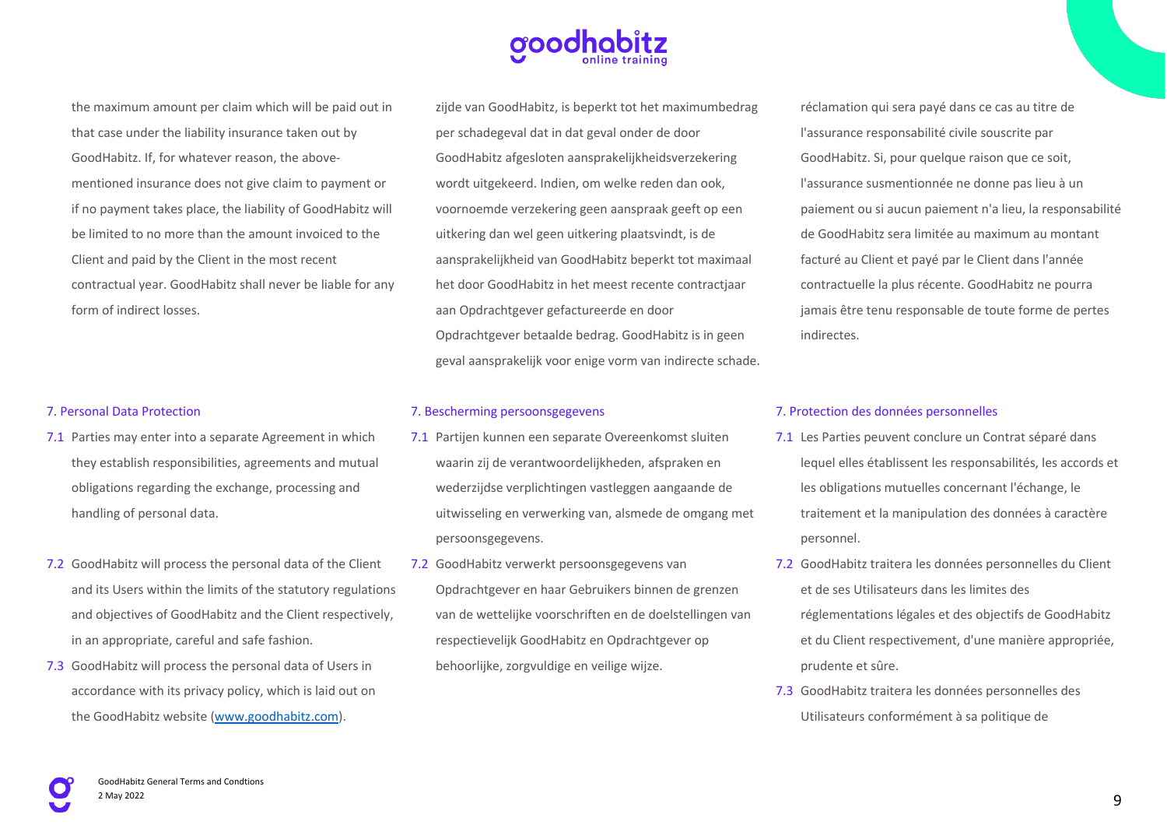the maximum amount per claim which will be paid out in that case under the liability insurance taken out by GoodHabitz. If, for whatever reason, the abovementioned insurance does not give claim to payment or if no payment takes place, the liability of GoodHabitz will be limited to no more than the amount invoiced to the Client and paid by the Client in the most recent contractual year. GoodHabitz shall never be liable for any form of indirect losses.

#### 7. Personal Data Protection

- 7.1 Parties may enter into a separate Agreement in which they establish responsibilities, agreements and mutual obligations regarding the exchange, processing and handling of personal data.
- 7.2 GoodHabitz will process the personal data of the Client and its Users within the limits of the statutory regulations and objectives of GoodHabitz and the Client respectively, in an appropriate, careful and safe fashion.
- 7.3 GoodHabitz will process the personal data of Users in accordance with its privacy policy, which is laid out on the GoodHabitz website (www.goodhabitz.com).

zijde van GoodHabitz, is beperkt tot het maximumbedrag per schadegeval dat in dat geval onder de door GoodHabitz afgesloten aansprakelijkheidsverzekering wordt uitgekeerd. Indien, om welke reden dan ook, voornoemde verzekering geen aanspraak geeft op een uitkering dan wel geen uitkering plaatsvindt, is de aansprakelijkheid van GoodHabitz beperkt tot maximaal het door GoodHabitz in het meest recente contractjaar aan Opdrachtgever gefactureerde en door Opdrachtgever betaalde bedrag. GoodHabitz is in geen geval aansprakelijk voor enige vorm van indirecte schade.

#### 7. Bescherming persoonsgegevens

- 7.1 Partijen kunnen een separate Overeenkomst sluiten waarin zij de verantwoordelijkheden, afspraken en wederzijdse verplichtingen vastleggen aangaande de uitwisseling en verwerking van, alsmede de omgang met persoonsgegevens.
- 7.2 GoodHabitz verwerkt persoonsgegevens van Opdrachtgever en haar Gebruikers binnen de grenzen van de wettelijke voorschriften en de doelstellingen van respectievelijk GoodHabitz en Opdrachtgever op behoorlijke, zorgvuldige en veilige wijze.

réclamation qui sera payé dans ce cas au titre de l'assurance responsabilité civile souscrite par GoodHabitz. Si, pour quelque raison que ce soit, l'assurance susmentionnée ne donne pas lieu à un paiement ou si aucun paiement n'a lieu, la responsabilité de GoodHabitz sera limitée au maximum au montant facturé au Client et payé par le Client dans l'année contractuelle la plus récente. GoodHabitz ne pourra jamais être tenu responsable de toute forme de pertes indirectes.

#### 7. Protection des données personnelles

- 7.1 Les Parties peuvent conclure un Contrat séparé dans lequel elles établissent les responsabilités, les accords et les obligations mutuelles concernant l'échange, le traitement et la manipulation des données à caractère personnel.
- 7.2 GoodHabitz traitera les données personnelles du Client et de ses Utilisateurs dans les limites des réglementations légales et des objectifs de GoodHabitz et du Client respectivement, d'une manière appropriée, prudente et sûre.
- 7.3 GoodHabitz traitera les données personnelles des Utilisateurs conformément à sa politique de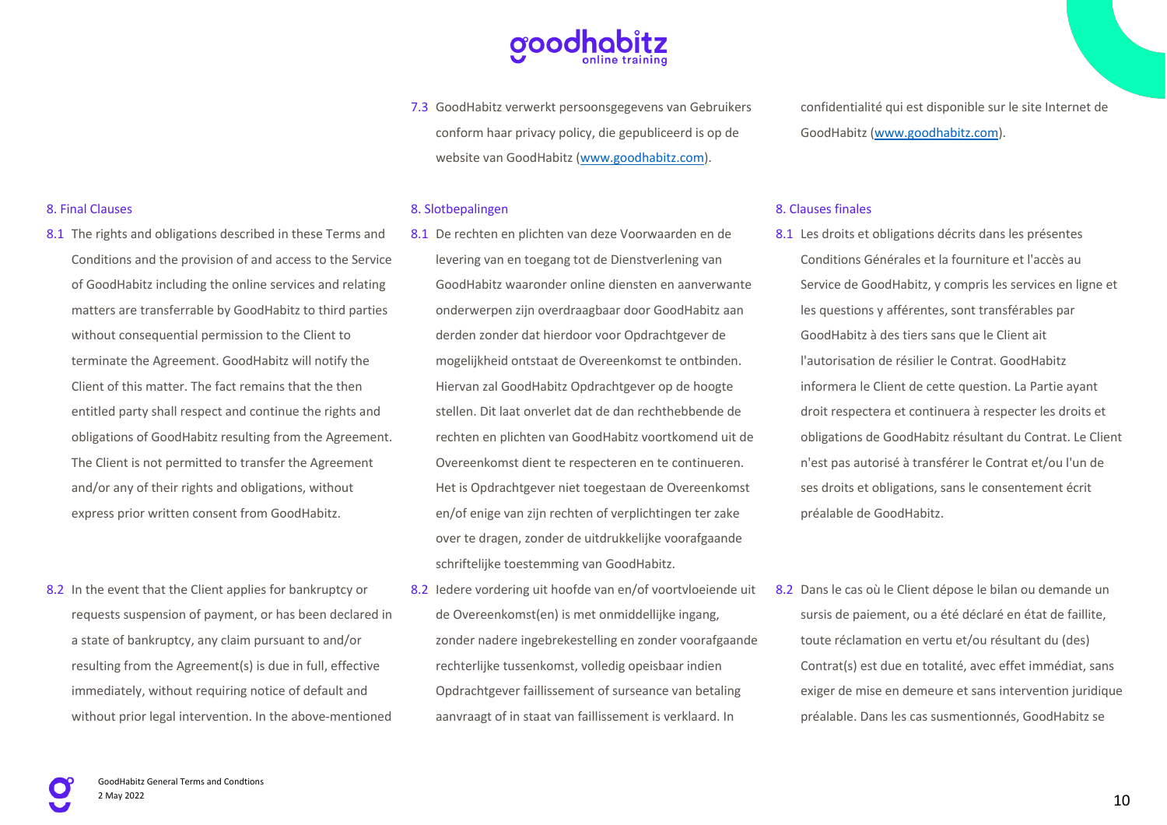7.3 GoodHabitz verwerkt persoonsgegevens van Gebruikers conform haar privacy policy, die gepubliceerd is op de website van GoodHabitz (www.goodhabitz.com).

#### 8. Slotbepalingen

- 8.1 De rechten en plichten van deze Voorwaarden en de levering van en toegang tot de Dienstverlening van GoodHabitz waaronder online diensten en aanverwante onderwerpen zijn overdraagbaar door GoodHabitz aan derden zonder dat hierdoor voor Opdrachtgever de mogelijkheid ontstaat de Overeenkomst te ontbinden. Hiervan zal GoodHabitz Opdrachtgever op de hoogte stellen. Dit laat onverlet dat de dan rechthebbende de rechten en plichten van GoodHabitz voortkomend uit de Overeenkomst dient te respecteren en te continueren. Het is Opdrachtgever niet toegestaan de Overeenkomst en/of enige van zijn rechten of verplichtingen ter zake over te dragen, zonder de uitdrukkelijke voorafgaande schriftelijke toestemming van GoodHabitz.
- 8.2 Iedere vordering uit hoofde van en/of voortvloeiende uit de Overeenkomst(en) is met onmiddellijke ingang, zonder nadere ingebrekestelling en zonder voorafgaande rechterlijke tussenkomst, volledig opeisbaar indien Opdrachtgever faillissement of surseance van betaling aanvraagt of in staat van faillissement is verklaard. In

confidentialité qui est disponible sur le site Internet de GoodHabitz (www.goodhabitz.com).

#### 8. Clauses finales

- 8.1 Les droits et obligations décrits dans les présentes Conditions Générales et la fourniture et l'accès au Service de GoodHabitz, y compris les services en ligne et les questions y afférentes, sont transférables par GoodHabitz à des tiers sans que le Client ait l'autorisation de résilier le Contrat. GoodHabitz informera le Client de cette question. La Partie ayant droit respectera et continuera à respecter les droits et obligations de GoodHabitz résultant du Contrat. Le Client n'est pas autorisé à transférer le Contrat et/ou l'un de ses droits et obligations, sans le consentement écrit préalable de GoodHabitz.
- 8.2 Dans le cas où le Client dépose le bilan ou demande un sursis de paiement, ou a été déclaré en état de faillite, toute réclamation en vertu et/ou résultant du (des) Contrat(s) est due en totalité, avec effet immédiat, sans exiger de mise en demeure et sans intervention juridique préalable. Dans les cas susmentionnés, GoodHabitz se

### 8. Final Clauses

- 8.1 The rights and obligations described in these Terms and Conditions and the provision of and access to the Service of GoodHabitz including the online services and relating matters are transferrable by GoodHabitz to third parties without consequential permission to the Client to terminate the Agreement. GoodHabitz will notify the Client of this matter. The fact remains that the then entitled party shall respect and continue the rights and obligations of GoodHabitz resulting from the Agreement. The Client is not permitted to transfer the Agreement and/or any of their rights and obligations, without express prior written consent from GoodHabitz.
- 8.2 In the event that the Client applies for bankruptcy or requests suspension of payment, or has been declared in a state of bankruptcy, any claim pursuant to and/or resulting from the Agreement(s) is due in full, effective immediately, without requiring notice of default and without prior legal intervention. In the above-mentioned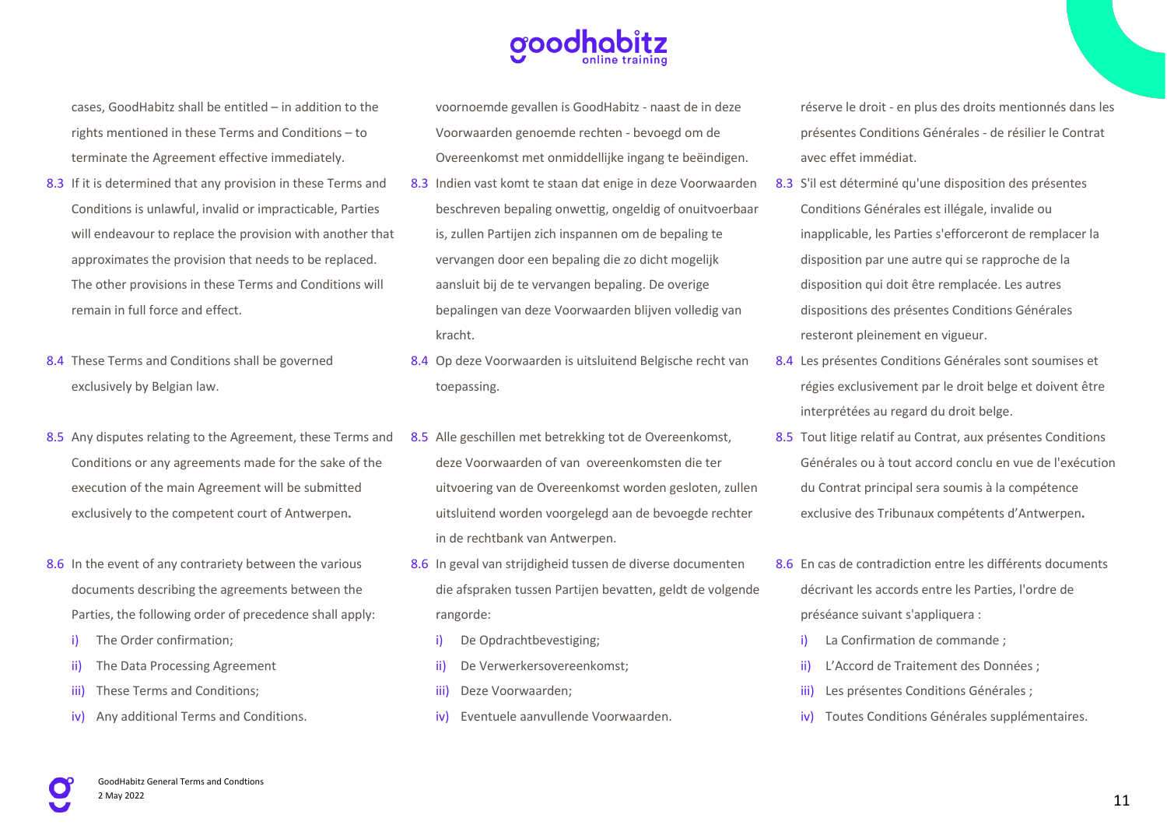cases, GoodHabitz shall be entitled – in addition to the rights mentioned in these Terms and Conditions – to terminate the Agreement effective immediately.

- 8.3 If it is determined that any provision in these Terms and Conditions is unlawful, invalid or impracticable, Parties will endeavour to replace the provision with another that approximates the provision that needs to be replaced. The other provisions in these Terms and Conditions will remain in full force and effect.
- 8.4 These Terms and Conditions shall be governed exclusively by Belgian law.
- 8.5 Any disputes relating to the Agreement, these Terms and Conditions or any agreements made for the sake of the execution of the main Agreement will be submitted exclusively to the competent court of Antwerpen**.**
- 8.6 In the event of any contrariety between the various documents describing the agreements between the Parties, the following order of precedence shall apply:
	- i) The Order confirmation;
	- ii) The Data Processing Agreement
	- iii) These Terms and Conditions;
	- iv) Any additional Terms and Conditions.

voornoemde gevallen is GoodHabitz - naast de in deze Voorwaarden genoemde rechten - bevoegd om de Overeenkomst met onmiddellijke ingang te beëindigen.

- 8.3 Indien vast komt te staan dat enige in deze Voorwaarden beschreven bepaling onwettig, ongeldig of onuitvoerbaar is, zullen Partijen zich inspannen om de bepaling te vervangen door een bepaling die zo dicht mogelijk aansluit bij de te vervangen bepaling. De overige bepalingen van deze Voorwaarden blijven volledig van kracht.
- 8.4 Op deze Voorwaarden is uitsluitend Belgische recht van toepassing.
- 8.5 Alle geschillen met betrekking tot de Overeenkomst, deze Voorwaarden of van overeenkomsten die ter uitvoering van de Overeenkomst worden gesloten, zullen uitsluitend worden voorgelegd aan de bevoegde rechter in de rechtbank van Antwerpen.
- 8.6 In geval van strijdigheid tussen de diverse documenten die afspraken tussen Partijen bevatten, geldt de volgende rangorde:
	- i) De Opdrachtbevestiging;
	- ii) De Verwerkersovereenkomst;
	- iii) Deze Voorwaarden;
	- iv) Eventuele aanvullende Voorwaarden.

réserve le droit - en plus des droits mentionnés dans les présentes Conditions Générales - de résilier le Contrat avec effet immédiat.

- 8.3 S'il est déterminé qu'une disposition des présentes Conditions Générales est illégale, invalide ou inapplicable, les Parties s'efforceront de remplacer la disposition par une autre qui se rapproche de la disposition qui doit être remplacée. Les autres dispositions des présentes Conditions Générales resteront pleinement en vigueur.
- 8.4 Les présentes Conditions Générales sont soumises et régies exclusivement par le droit belge et doivent être interprétées au regard du droit belge.
- 8.5 Tout litige relatif au Contrat, aux présentes Conditions Générales ou à tout accord conclu en vue de l'exécution du Contrat principal sera soumis à la compétence exclusive des Tribunaux compétents d'Antwerpen**.**
- 8.6 En cas de contradiction entre les différents documents décrivant les accords entre les Parties, l'ordre de préséance suivant s'appliquera :
	- La Confirmation de commande :
	- ii) L'Accord de Traitement des Données ;
	- iii) Les présentes Conditions Générales ;
	- iv) Toutes Conditions Générales supplémentaires.